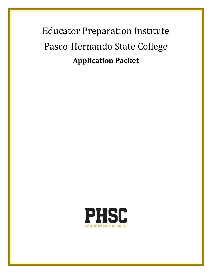# Educator Preparation Institute Pasco-Hernando State College **Application Packet**

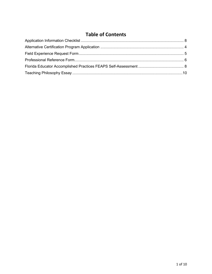# **Table of Contents**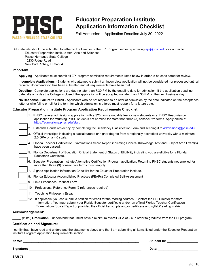

# <span id="page-2-0"></span>**Educator Preparation Institute Application Information Checklist**

Fall Admission – Application Deadline July 30, 2022

All materials should be submitted together to the Director of the EPI Program either by emailing [epi@phsc.edu](mailto:epi@phsc.edu) or via mail to: Educator Preparation Institute Attn: Arts and Sciences

Pasco-Hernando State College 10230 Ridge Road New Port Richey, FL 34654

#### **Important:**

**Applying** - Applicants must submit all EPI program admission requirements listed below in order to be considered for review.

 **Incomplete Applications** - Students who attempt to submit an incomplete application will not be considered nor processed until all required documentation has been submitted and all requirements have been met.

**Deadline -** Complete applications are due no later than 7:30 PM by the deadline date for admission. If the application deadline date falls on a day the College is closed, the application will be accepted no later than 7:30 PM on the next business day.

**No Response/ Failure to Enroll -** Applicants who do not respond to an offer of admission by the date indicated on the acceptance letter or who fail to enroll for the term for which admission is offered must reapply for a future date.

### **Educator Preparation Institute Program Application Requirements Checklist**

|     | PHSC general admissions application with a \$25 non-refundable fee for new students or a PHSC Readmission<br>application for returning PHSC students not enrolled for more than three (3) consecutive terms. Apply online at<br>https://admissions.phsc.edu/start.                                                                                  |
|-----|-----------------------------------------------------------------------------------------------------------------------------------------------------------------------------------------------------------------------------------------------------------------------------------------------------------------------------------------------------|
|     | 2. Establish Florida residency by completing the Residency Classification Form and sending it to admissions@phsc.edu.                                                                                                                                                                                                                               |
| 3.  | Official transcripts indicating a baccalaureate or higher degree from a regionally accredited university with a minimum<br>2.5 GPA on a 4.0 scale.                                                                                                                                                                                                  |
| 4.  | Florida Teacher Certification Examinations Score Report indicating General Knowledge Test and Subject Area Exam(s)<br>have been passed.                                                                                                                                                                                                             |
| 5.  | Florida Department of Education Official Statement of Status of Eligibility indicating you are eligible for a Florida<br>Educator's Certificate.                                                                                                                                                                                                    |
| 6.  | Educator Preparation Institute Alternative Certification Program application. Returning PHSC students not enrolled for<br>more than three (3) consecutive terms must reapply.                                                                                                                                                                       |
| 7.  | Signed Application Information Checklist for the Educator Preparation Institute.                                                                                                                                                                                                                                                                    |
|     | 8. Florida Educator Accomplished Practices (FEAPs) Completed Self-Assessment                                                                                                                                                                                                                                                                        |
|     | 9. Field Experience Request Form                                                                                                                                                                                                                                                                                                                    |
|     | 10. Professional Reference Form (2 references required)                                                                                                                                                                                                                                                                                             |
|     | 11. Teaching Philosophy Essay                                                                                                                                                                                                                                                                                                                       |
| 12. | If applicable, you can submit a petition for credit for the reading courses. (Contact the EPI Director for more<br>information. You must submit your Florida Educator certificate and/or an official Florida Teacher Certification<br>Examinations Score Report or provided the official transcripts and/or certificate and syllabi/reading matrix. |

#### **Acknowledgement:**

\_\_\_\_\_ (*initial*) **Graduation**: I understand that I must have a minimum overall GPA of 2.5 in order to graduate from the EPI program.

#### **Certification and Signature:**

 I certify that I have read and understand the statements above and that I am submitting all items listed under the Educator Preparation Institute Program Application Requirements section.

| Name:      | <b>Student IL</b> |
|------------|-------------------|
| Signature: | Date:             |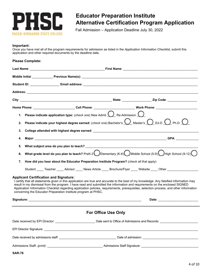

# <span id="page-3-0"></span>**Educator Preparation Institute Alternative Certification Program Application**

Fall Admission – Application Deadline July 30, 2022

#### **Important:**

 Once you have met all of the program requirements for admission as listed in the *Application Information Checklist*, submit this application and other required documents by the deadline date.

#### **Please Complete:**

|    | Middle Initial Previous Name(s): New York Changes and Changes and Changes and Changes and Changes and Changes and Changes and Changes and Changes and Changes and Changes and Changes and Changes and Changes and Changes and                                                                                                                                                                                                                                                                                                        |
|----|--------------------------------------------------------------------------------------------------------------------------------------------------------------------------------------------------------------------------------------------------------------------------------------------------------------------------------------------------------------------------------------------------------------------------------------------------------------------------------------------------------------------------------------|
|    |                                                                                                                                                                                                                                                                                                                                                                                                                                                                                                                                      |
|    |                                                                                                                                                                                                                                                                                                                                                                                                                                                                                                                                      |
|    |                                                                                                                                                                                                                                                                                                                                                                                                                                                                                                                                      |
|    | Home Phone: ________________________Cell Phone: ____________________________Work Phone: ______________________                                                                                                                                                                                                                                                                                                                                                                                                                       |
| 2. | 1. Please indicate application type: (check one) New Admit $\bigcup_{k=1}^{\infty}$ Re-Admission $\bigcirc$<br>Please indicate your highest degree earned: (check one) Bachelor's $\bigcup$ Master's $\bigcap$ Ed.D $\bigcap$ Ph.D. $\bigcap$                                                                                                                                                                                                                                                                                        |
| 3. |                                                                                                                                                                                                                                                                                                                                                                                                                                                                                                                                      |
| 4. |                                                                                                                                                                                                                                                                                                                                                                                                                                                                                                                                      |
| 5. |                                                                                                                                                                                                                                                                                                                                                                                                                                                                                                                                      |
| 6. | What grade level do you plan to teach? PreK-3 DElementary (K-6) Middle School (5-9) High School (9-12) O                                                                                                                                                                                                                                                                                                                                                                                                                             |
| 7. | How did you hear about the Educator Preparation Institute Program? (check all that apply)                                                                                                                                                                                                                                                                                                                                                                                                                                            |
|    | Student _____ Teacher _____ Advisor _____ News Article _____ Brochure/Flyer _____ Website _____ Other _____________                                                                                                                                                                                                                                                                                                                                                                                                                  |
|    | <b>Applicant Certification and Signature:</b><br>I certify that all statements given in this application are true and accurate to the best of my knowledge. Any falsified information may<br>result in my dismissal from the program. I have read and submitted the information and requirements on the enclosed SIGNED<br>Application Information Checklist regarding application policies, requirements, prerequisites, selection process, and other information<br>concerning the Educator Preparation Institute program at PHSC. |
|    |                                                                                                                                                                                                                                                                                                                                                                                                                                                                                                                                      |
|    | <b>For Office Use Only</b>                                                                                                                                                                                                                                                                                                                                                                                                                                                                                                           |
|    |                                                                                                                                                                                                                                                                                                                                                                                                                                                                                                                                      |
|    |                                                                                                                                                                                                                                                                                                                                                                                                                                                                                                                                      |
|    |                                                                                                                                                                                                                                                                                                                                                                                                                                                                                                                                      |
|    |                                                                                                                                                                                                                                                                                                                                                                                                                                                                                                                                      |

**SAR-76**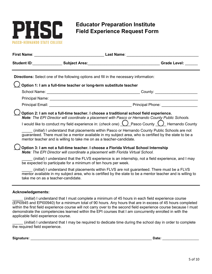

# <span id="page-4-0"></span> **Field Experience Request Form Educator Preparation Institute**

|                          |                                                                                                                                                                         | Student ID: Subject Area: Subject Area: Subject Area: Student ID: Student ID: Student ID: Subject Area: Student                                                                                                                                                                                                                                                                                                                                                                                                       |
|--------------------------|-------------------------------------------------------------------------------------------------------------------------------------------------------------------------|-----------------------------------------------------------------------------------------------------------------------------------------------------------------------------------------------------------------------------------------------------------------------------------------------------------------------------------------------------------------------------------------------------------------------------------------------------------------------------------------------------------------------|
|                          | <b>Directions:</b> Select one of the following options and fill in the necessary information:                                                                           |                                                                                                                                                                                                                                                                                                                                                                                                                                                                                                                       |
|                          | $\bigcup$ Option 1: I am a full-time teacher or long-term substitute teacher                                                                                            |                                                                                                                                                                                                                                                                                                                                                                                                                                                                                                                       |
|                          |                                                                                                                                                                         |                                                                                                                                                                                                                                                                                                                                                                                                                                                                                                                       |
|                          |                                                                                                                                                                         |                                                                                                                                                                                                                                                                                                                                                                                                                                                                                                                       |
|                          |                                                                                                                                                                         |                                                                                                                                                                                                                                                                                                                                                                                                                                                                                                                       |
|                          | mentor teacher and is willing to take me on as a teacher-candidate.                                                                                                     | Option 2: I am not a full-time teacher. I choose a traditional school field experience.<br>Note: The EPI Director will coordinate a placement with Pasco or Hernando County Public Schools.<br>I would like to conduct my field experience in: (check one) <u>(J</u> Pasco County <i>Q Hernando County</i><br>(initial) I understand that placements within Pasco or Hernando County Public Schools are not<br>guaranteed. There must be a mentor available in my subject area, who is certified by the state to be a |
|                          | Option 3: I am not a full-time teacher. I choose a Florida Virtual School Internship<br>Note: The EPI Director will coordinate a placement with Florida Virtual School. |                                                                                                                                                                                                                                                                                                                                                                                                                                                                                                                       |
|                          | be expected to participate for a minimum of ten hours per week.                                                                                                         | ( <i>initial</i> ) I understand that the FLVS experience is an internship, not a field experience, and I may                                                                                                                                                                                                                                                                                                                                                                                                          |
|                          | take me on as a teacher-candidate.                                                                                                                                      | <i>(initial)</i> I understand that placements within FLVS are not guaranteed. There must be a FLVS<br>mentor available in my subject area, who is certified by the state to be a mentor teacher and is willing to                                                                                                                                                                                                                                                                                                     |
| <b>Acknowledgements:</b> |                                                                                                                                                                         |                                                                                                                                                                                                                                                                                                                                                                                                                                                                                                                       |

 \_\_\_\_\_ (*initial*) I understand that I must complete a minimum of 45 hours in each field experience course (EPI0945 and EPI00940) for a minimum total of 90 hours. Any hours that are in excess of 45 hours completed within the first field experience course will not carry over to the second field experience course because I must demonstrate the competencies learned within the EPI courses that I am concurrently enrolled in with the applicable field experience course.

 \_\_\_\_\_ (*initial*) I understand that I may be required to dedicate time during the school day in order to complete the required field experience.

**Signature:** \_\_\_\_\_\_\_\_\_\_\_\_\_\_\_\_\_\_\_\_\_\_\_\_\_\_\_\_\_\_\_\_\_\_\_\_\_\_\_\_\_\_\_\_\_\_\_\_\_\_\_\_\_\_\_\_\_\_\_\_\_\_\_ **Date:** \_\_\_\_\_\_\_\_\_\_\_\_\_\_\_\_\_\_\_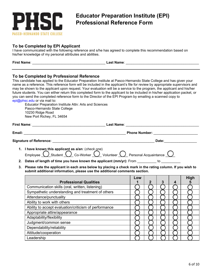

# <span id="page-5-0"></span>**Educator Preparation Institute (EPI) Professional Reference Form**

## **To be Completed by EPI Applicant**

I have communicated with the following reference and s/he has agreed to complete this recommendation based on his/her knowledge of my personal attributes and abilities.

| <b>First Name:</b> | <b>Last Name</b> : |  |
|--------------------|--------------------|--|
|                    |                    |  |

### **To be Completed by Professional Reference**

 name as a reference. This reference form will be included in the applicant's file for review by appropriate supervisors and may be shown to the applicant upon request. Your evaluation will be a service to the program, the applicant and his/her future students. You can either return this completed form to the applicant to be included in his/her application packet, or This candidate has applied to the Educator Preparation Institute at Pasco-Hernando State College and has given your you can send the completed reference form to the Director of the EPI Program by emailing a scanned copy to [epi@phsc.edu](mailto:epi@phsc.edu) or via mail to: Educator Preparation Institute Attn: Arts and Sciences

Pasco-Hernando State College 10230 Ridge Road New Port Richey, FL 34654

| <b>First Name:</b>                                  | Last Name∶                                                                                                            |
|-----------------------------------------------------|-----------------------------------------------------------------------------------------------------------------------|
|                                                     | <u> 1989 - Johann Stoff, deutscher Stoff, der Stoff, der Stoff, der Stoff, der Stoff, der Stoff, der Stoff, der S</u> |
| Email:                                              | <b>Phone Number:</b>                                                                                                  |
|                                                     |                                                                                                                       |
| <b>Signature of Reference:</b>                      | Date:                                                                                                                 |
| 1. I have known this applicant as a/an: (check one) |                                                                                                                       |

- Employee  $\bigcirc$  Student  $\bigcirc$  Co-Worker  $\bigcirc$  Volunteer  $\bigcirc$  Personal Acquaintance  $\bigcirc$
- 2. Dates of length of time you have known the applicant (mm/yr): <code>From \_\_\_\_\_\_\_\_\_\_ to \_\_\_\_\_\_\_\_\_\_\_\_</sup></code>
- **3. Please rate the applicant in each area below by placing a check mark in the rating column. If you wish to submit additional information, please use the additional comments section.**

|                                                       | Low |   |   |   | High |
|-------------------------------------------------------|-----|---|---|---|------|
| <b>Professional Qualities</b>                         |     | 2 | 3 | 4 | 5    |
| Communication skills (oral, written, listening)       |     |   |   |   |      |
| Sympathetic understanding and treatment of others     |     |   |   |   |      |
| Attendance/punctuality                                |     |   |   |   |      |
| Ability to work with others                           |     |   |   |   |      |
| Ability to accept evaluation/criticism of performance |     |   |   |   |      |
| Appropriate attire/appearance                         |     |   |   |   |      |
| Adaptability/flexibility                              |     |   |   |   |      |
| Judgment/common sense                                 |     |   |   |   |      |
| Dependability/reliability                             |     |   |   |   |      |
| Attitude/cooperation                                  |     |   |   |   |      |
| Leadership                                            |     |   |   |   |      |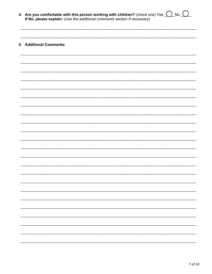4. Are you comfortable with this person working with children? (check one) Yes  $\bigcirc$  No  $\bigcirc$  No  $\bigcirc$  If No, please explain: (Use the additional comments section if necessary)

# 5. Additional Comments: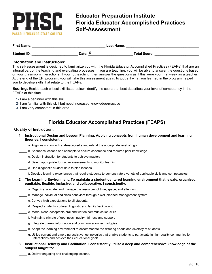

# <span id="page-7-0"></span>**Educator Preparation Institute Florida Educator Accomplished Practices Self-Assessment**

| <b>First Name:</b> | <b>Last Name:</b> |  |                     |  |
|--------------------|-------------------|--|---------------------|--|
| <b>Student ID:</b> | Date:             |  | <b>Total Score:</b> |  |

### **Information and Instructions:**

 integral part of the teaching and evaluating processes. If you are teaching, you will be able to answer the questions based This self-assessment is designed to familiarize you with the Florida Educator Accomplished Practices (FEAPs) that are an on your classroom interactions. If you not teaching, then answer the questions as if this were your first week as a teacher. At the end of the EPI program, you will take this assessment again, to judge if what you learned in the program helped you to develop skills that relate to the FEAPs.

**Scoring:** Beside each critical skill listed below, identify the score that best describes your level of competency in the FEAPs at this time.

- 1- I am a beginner with this skill
- 2- I am familiar with this skill but need increased knowledge/practice
- 3- I am very competent in this area.

# **Florida Educator Accomplished Practices (FEAPS)**

### **Quality of Instruction:**

- **1. Instructional Design and Lesson Planning. Applying concepts from human development and learning theories, I consistently:** 
	- a. Align instruction with state-adopted standards at the appropriate level of rigor.
- \_\_\_\_\_ b. Sequence lessons and concepts to ensure coherence and required prior knowledge.
- \_\_\_\_\_ c. Design instruction for students to achieve mastery.
- \_\_\_\_\_ d. Select appropriate formative assessments to monitor learning.
- \_\_\_\_\_ e. Use diagnostic student data to plan lessons.
- \_\_\_\_\_ f. Develop learning experiences that require students to demonstrate a variety of applicable skills and competencies.
- **2. The Learning Environment. To maintain a student-centered learning environment that is safe, organized, equitable, flexible, inclusive, and collaborative, I consistently:**
- a. Organize, allocate, and manage the resources of time, space, and attention.
- \_\_\_\_\_\_\_ a. Organize, allocate, and manage the resources of time, space, and attention.<br>\_\_\_\_\_\_\_ b. Manage individual and class behaviors through a well-planned management system.<br>\_\_\_\_\_\_ c. Convey high expectations to all st
- 
- d. Respect students' cultural, linguistic and family background.
- e. Model clear, acceptable oral and written communication skills.
- f. Maintain a climate of openness, inquiry, fairness and support.
- g. Integrate current information and communication technologies.
- h. Adapt the learning environment to accommodate the differing needs and diversity of students.
- interactions and achieve their educational goals. \_\_\_\_\_ g. Utilize current and emerging assistive technologies that enable students to participate in high-quality communication
- **3. Instructional Delivery and Facilitation. I consistently utilize a deep and comprehensive knowledge of the subject taught to:** 
	- a. Deliver engaging and challenging lessons.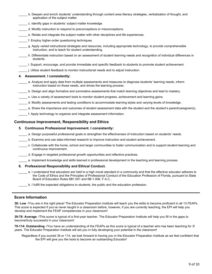- \_\_\_\_\_ b. Deepen and enrich students' understanding through content area literacy strategies, verbalization of thought, and application of the subject matter.
- c. Identify gaps in students' subject matter knowledge.
- d. Modify instruction to respond to preconceptions or misconceptions.
- e. Relate and integrate the subject matter with other disciplines and life experiences.
- f. Employ higher-order questioning techniques.
- \_\_\_\_\_ g. Apply varied instructional strategies and resources, including appropriate technology, to provide comprehensible instruction, and to teach for student understanding.
- \_\_\_\_\_ h. Differentiate instruction based on an assessment of student learning needs and recognition of individual differences in students.
	- \_\_\_\_\_ i. Support, encourage, and provide immediate and specific feedback to students to promote student achievement.
	- \_\_\_\_\_ j. Utilize student feedback to monitor instructional needs and to adjust instruction.

#### **4. Assessment. I consistently:**

- \_\_\_\_\_ a. Analyze and apply data from multiple assessments and measures to diagnose students' learning needs, inform instruction based on those needs, and drives the learning process.
- b. Design and align formative and summative assessments that match learning objectives and lead to mastery.
- \_\_\_\_\_ c. Use a variety of assessment tools to monitor student progress, achievement and learning gains.
- \_\_\_\_\_ d. Modify assessments and testing conditions to accommodate learning styles and varying levels of knowledge.
- \_\_\_\_\_ e. Share the importance and outcomes of student assessment data with the student and the student's parent/caregiver(s).
- \_\_\_\_\_ f. Apply technology to organize and integrate assessment information.

### **Continuous Improvement, Responsibility and Ethics**

### **5. Continuous Professional Improvement. I consistently:**

- a. Design purposeful professional goals to strengthen the effectiveness of instruction based on students' needs.
- b. Examine and use data-informed research to improve instruction and student achievement.
- \_\_\_\_\_ c. Collaborate with the home, school and larger communities to foster communication and to support student learning and continuous improvement.
- \_\_\_\_\_ d. Engage in targeted professional growth opportunities and reflective practices.
	- \_\_\_\_\_ e. Implement knowledge and skills learned in professional development in the teaching and learning process.

#### **6. Professional Responsibility and Ethical Conduct.**

- \_\_\_\_\_ a. I understand that educators are held to a high moral standard in a community and that the effective educator adheres to the Code of Ethics and the Principles of Professional Conduct of the Education Profession of Florida, pursuant to State Board of Education Rules 6B1.001 and 6B-1.006, F.A.C.,
	- \_\_\_\_\_ b. I fulfill the expected obligations to students, the public and the education profession.

### **Score Information**

 **38: Low** -!You are in the right place! The Educator Preparation Institute will teach you the skills to become proficient in all 13 FEAPs. This score is expected if you've never taught in a classroom before, however, if you are currently teaching, the EPI will help you develop and implement the FEAP competencies in your classroom!

**39-78: Average** -!This score is typical of a first-year teacher. The Educator Preparation Institute will help you fill in the gaps to become!truly successful in your classroom!

**79-114: Outstanding** -!You have an understanding of the FEAPs as this score is typical of a teacher who has been teaching for 3! years. The Educator Preparation Institute will aid you in fully developing your potential in the classroom!

Regardless if you scored 38 or 114, we look forward to having you in the Educator Preparation Institute as we feel confident that the EPI will give you the tools to become an outstanding Educator!